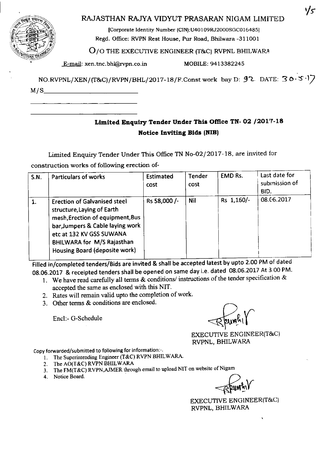| п<br>łη.<br>∕€<br>REF<br>हरुक<br>$\partial_{\mathcal{U}}$<br>ų٨ |
|-----------------------------------------------------------------|
|                                                                 |
|                                                                 |

## RAJASTHAN RAJYA VIDYUT PRASARAN NIGAM LIMITED

[Corporate Identity Number (CIN):U40109RJ2000SGC016485] Regd. Office: RVPN Rest House, Pur Road, Bhilwara -311001

0/0 THE EXECUTIVE ENGINEER (T&C) RVPNL BHILWARA

E-mail: xen.tnc.bhl@rvpn.co.in MOBILE: 9413382245

 $NO.RVPNL/XEN/(T&C)/RVPN/BHL/2017-18/F. Const work$  bay D:  $92$  DATE:  $30.5$ M/S, \_\_

# **Limited Enquiry Tender Under This Office TN- 02/201'7-18 Notice Inviting Bids (NIB)**

Limited Enquiry Tender Under This Office TN No-02/20 17-18, are invited for construction works of following erection of-

| <b>S.N.</b> | <b>Particulars of works</b>                                                                                                                                                                                                                 | Estimated<br>cost | <b>Tender</b><br>cost | <b>EMD Rs.</b> | Last date for<br>submission of<br>BID. |
|-------------|---------------------------------------------------------------------------------------------------------------------------------------------------------------------------------------------------------------------------------------------|-------------------|-----------------------|----------------|----------------------------------------|
| 1.          | <b>Erection of Galvanised steel</b><br>structure, Laying of Earth<br>mesh, Erection of equipment, Bus<br>bar, Jumpers & Cable laying work<br>etc at 132 KV GSS SUWANA<br><b>BHILWARA for M/S Rajasthan</b><br>Housing Board (deposite work) | Rs 58,000 /-      | <b>Nil</b>            | Rs 1,160/-     | 08.06.2017                             |

Filled In/completed tenders/Bids are invited & shall be accepted latest by upto 2.00 PM of dated 08.06.2017 & receipted tenders shall be opened on same day l.e. dated 08.06.2017 At 3,00 PM.

- I. We have read carefully all terms & conditions/ instructions of the tender specification & accepted the same as enclosed with this NIT.
- 2. Rates will remain valid upto the completion of work.
- 3. Other terms & conditions are enclosed.

Encl:- G-Schedule

EXECUTIVE ENGINEER(T&C) RVPNL, BHILWARA

Copy forwarded/submitted to following for information:-.

- I, The Superintending Engineer (T&C) RVPN BHILWARA,
- 2. The AO(T&C) RVPN BHILWARA
- 3. The FM(T&C) RVPN, AJMER through email to upload NIT on website of Nigam<br>4. Notice Board.
- 

EXECUTIVE ENGINEER(T&C) RVPNL, BHILWARA

ソς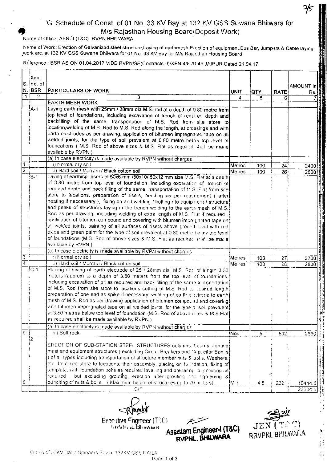# 'G' Schedule of Const. of 01 No. 33 KV Bay at 132 KV GSS Suwana Bhilwara for M/s Rajasthan Housing Board Deposit Work)

Neme of Office: AEN-'I (T&C) RVPN BHILWARA

Name of Work: Erection of Galvanized steel structure,Laying of earthmesh.Erection of equipment.Bus Bar, Jumpers & Cable laying \_werketc,at 132 KV GSS Suwana Bhilwara for 01 No. 33 KV Bay for *Mis* RaJ'etran -lousin; Board

Reference: BSR AS ON 01.04.2017 VIDE RVPN/SE(Contracts-II)/XEN-4/F./D 45 JAIPUR Dated 21.04.17

|                      | ltem.          |                                                                                      |        |                |                 |           |
|----------------------|----------------|--------------------------------------------------------------------------------------|--------|----------------|-----------------|-----------|
|                      | S. Ino. of:    |                                                                                      |        |                |                 | AMOUNT in |
|                      | N. BSR         | <b>PARTICULARS OF WORK</b>                                                           | unit   | QTY.           | <b>RATE</b>     |           |
| $\ddot{\phantom{1}}$ | 2              | 3                                                                                    | 4      | 5              |                 | Rs.       |
|                      |                | <b>EARTH MESH WORK</b>                                                               |        |                |                 |           |
|                      | $\mathsf{A}$ 1 | Laying earth mesh with 25mm./ 28mm dia M.S. rod at a depth of 0.80 metre from        |        |                |                 |           |
|                      |                | top level of foundations, including excavation of trench of required depth and       |        |                |                 |           |
|                      |                | backfilling of the same, transportation of M.S. Rod from site store to               |        |                |                 |           |
|                      |                | location, welding of M.S. Rod to M.S. Rod along the length, at crossings and with    |        |                |                 |           |
|                      |                | earth electrodes as per drawing, application of bitumen impregnated tape on all      |        |                |                 |           |
|                      |                | welded joints, for the type of soil prevalent at 0.80 metre below top level of       |        |                |                 |           |
|                      |                | foundations (M.S. Rod of above sizes & M.S. Flat as required shall be made           |        |                |                 |           |
|                      |                | available by RVPN)                                                                   |        |                |                 |           |
|                      |                | (a) In case electricity is made available by RVPN without charges                    |        |                |                 |           |
|                      |                | i) Normal dry soil                                                                   | Metres | 100            | 24              | 2400      |
| $\overline{2}$       |                | ii) Hard soil / Murram / Black cotton soil                                           | Metres | 100            | 26              | 2600      |
|                      | :B-1           | Laying of earthing risers of 50x6 mm /50x10/ 50x12 mm size M.S. Flat at a depth      |        |                |                 |           |
|                      |                | of 0.80 metre from top level of foundation, including excavation of trench of        |        |                |                 |           |
|                      |                | required depth and back filling of the same, transportation of M.S. Flat from site   |        |                |                 |           |
|                      |                | store to lacations, preparation of risers, bending as per requilement (after         |        |                |                 |           |
|                      |                | heating if neccessary), fixing on and welding / bolting / to equip 1 ent / structure |        |                |                 |           |
|                      |                | and peaks of structures laying in the trench welding to the earth mesh of M.S.       |        |                |                 |           |
|                      |                | Red as per drawing, including welding of extra length of M.S. Flat if required       |        |                |                 |           |
|                      |                | application of bitumen compound and covering with bitumen impregnated tape on        |        |                |                 |           |
|                      |                | all welded joints, painting of all surfaces of risers above ground level with red    |        |                |                 |           |
|                      |                | oxide and green paint for the type of soil prevalent at 0.80 metre Le ow top level   |        |                |                 |           |
|                      |                | of foundations (M.S. Rod of above sizes & M.S. Flat as required shall be made        |        |                |                 |           |
|                      |                | available by RVPN)                                                                   |        |                |                 |           |
|                      |                | (a) In case electricity is made available by RVPN without charges                    |        |                |                 |           |
| $\overline{3}$       |                | <b>D</b> Normal dry soil                                                             | Metres | 100            | 27              | 2700      |
| 4                    |                | (i) Hard soil / Murram / Black cotton soil                                           | Metres | 100            | $\overline{28}$ | 2800      |
|                      | $C-1$          | Placing / Driving of earth electrode of 25 / 28mm dia. M.S. Roc of length 3.00       |        |                |                 |           |
|                      |                | meters (approx) to a depth of 3.80 meters from the top level of foundations,         |        |                |                 |           |
|                      |                | including excavation of pit as required and back filling of the same trunsportation  |        |                |                 |           |
|                      |                | of M.S. Rod from site store to lacations cutting of M.S. Rod to desired length       |        |                |                 |           |
|                      |                | preparation of one end as spike if necessary, welding of ea th electroce to earth    |        |                |                 |           |
|                      |                | mesh of M.S. Rod as per drawing application of bitumen compound and covering         |        |                |                 |           |
|                      |                | with bitumen impregnated tape on all welded joints, for the type of soil prevalent   |        |                |                 |           |
|                      |                | at 3.80 metres below top level of foundation (M.S. Rod of above cities & M.S.Flat)   |        |                |                 |           |
|                      |                | as required shall be made available by RVPN )                                        |        |                |                 |           |
|                      |                | (a) In case electricity is made available by RVPN without charges                    |        |                |                 |           |
| $\overline{5}$       |                | iii) Soft rock                                                                       | Nos.   | $\overline{5}$ | 532             | 2660      |
| 12                   |                |                                                                                      |        |                |                 |           |
|                      |                | ERECTION OF SUB-STATION STEEL STRUCTURES columns. Learns, lighting                   |        |                |                 |           |
|                      |                | mast and equipment structures (excluding Circult Breakers and Cappeitor Banks        |        |                |                 |           |
|                      |                | ) of all types including transportation of structure member nuts \$ bolls. Washers,  |        |                |                 |           |
|                      |                | etc. from site store to locations, their assembly, placing on foundation, fixing of  |        |                |                 |           |
|                      |                | template, with foundation boits as required levelling and preparing to grouting as   |        |                |                 |           |
|                      |                | required , but excluding grouting, erection after grouting and fighrening &          |        |                |                 |           |
| 6                    |                | punching of nuts & bolts (Maximum height of structures up to 20 milters)             | ¦M T   | 4.5            | 2321            | 10444.5   |
|                      |                | C/F                                                                                  |        |                |                 | 23604.5   |

Executive Engineer (T3C) *<u>KRVP.IL Blanvars</u>* 

Assistant Engineer-I (T&C)



•

G.: Cdi. cf.33KV Baba Spinners Bay at 132KV GS\$ RAILA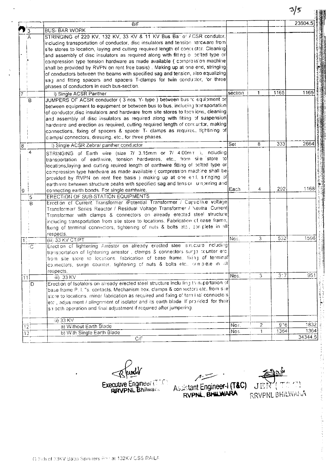|                   |                | B/F                                                                                            |             |                |                            | 23604.5 |
|-------------------|----------------|------------------------------------------------------------------------------------------------|-------------|----------------|----------------------------|---------|
|                   | 3              | <b>BUS- BAR WORK</b>                                                                           |             |                |                            |         |
|                   | $\mathsf{A}$   | STRINGING of 220 KV, 132 KV, 33 KV & 11 KV Bus Bar of ACSR condutor,                           |             |                |                            |         |
|                   |                | including transportation of conductor, disc insulators and tension hardware from               |             |                |                            |         |
|                   |                | site stores to location, laying and cutting required length of concuctor. Cleaning             |             |                |                            |         |
|                   |                | and assembly of disc insulators as required along with fitting o polted type or                |             |                |                            |         |
|                   |                | compression type tension hardware as made available ( compression machine                      |             |                |                            |         |
|                   |                | shall be provided by RVPN on rent free basis). Making up at one end, stringing                 |             |                |                            |         |
|                   |                | of conductors between the beams with specified sag and tension, also equalizing                |             |                |                            |         |
|                   |                | sag and fitting spacers and spacers T-clamps for twin conductor, for three                     |             |                |                            |         |
|                   |                | phases of conductors in each bus-section.                                                      |             |                |                            |         |
| $\overline{7}$    |                | i) Single ACSR Panther                                                                         | section     | 1              | 1165                       | 1165    |
|                   | В              | JUMPERS OF ACSR conductor (3 nos. Y-type) between busific equipment or                         |             |                |                            |         |
|                   |                | between equipment to equipment or between bus to bus, including transportation                 |             |                |                            |         |
|                   |                | of conductor, disc insulators and hardware from site stores to localions, cleaning             |             |                |                            |         |
|                   |                | and assembly of disc insulators as required along with fitting of suspension                   |             |                |                            |         |
|                   |                | hardware and erection as required, cutting required length of concuctor, making                |             |                |                            |         |
|                   |                | connections, fixing of spacers & spacer T- clamps as required, fightining of                   |             |                |                            |         |
|                   |                | clamps/ connectors, dressing, etc., for three phases.                                          |             |                |                            |         |
| $\overline{8}$    |                | i) Single ACSR Zebra/ panther conductor                                                        | Set         | 8              | 333                        | 2664    |
|                   | $4^{\circ}$    | STRINGING of Earth wire (size 7/ 3.15mm or 7/ 4.00m r), noluding                               |             |                |                            |         |
|                   |                | transportation of earthwire, tension hardwares, etc., from site store to                       |             |                |                            |         |
|                   |                | locations, laying and cutting reuired length of earthwire fitting of polted type or            |             |                |                            |         |
|                   |                | compression type hardware as made available ( compression machine shall be                     |             |                |                            |         |
|                   |                | provided by RVPN on rent free basis) making up at one end, siringing of                        |             |                |                            |         |
|                   |                | earthwire between structure peaks with specified sag and tensior umpering and                  |             |                |                            |         |
| 19.               |                | connecting earth bonds. For single earhtwire.                                                  | <b>Each</b> | 4              | 292                        | 1168    |
|                   | 5              | ERECTION OF SUB-STATION EQUIPMENTS                                                             |             |                |                            |         |
|                   | B              | Erection of Current Transformer /Potential Transformer / Capacitive voltage                    |             |                |                            |         |
|                   |                | Transformer/ Series Reactor / Residual Voltage Transformer / Neutral Current                   |             |                |                            |         |
|                   |                | Transformer with clamps & connectors on already erected steel structure                        |             |                |                            |         |
|                   |                | including transportation from site store to locations. Fabrication of base frame,              |             |                |                            |         |
|                   |                | fixing of terminal connectors, tightening of nuts & bolts etc., con-plete in all               |             |                |                            |         |
|                   |                | respects.                                                                                      |             |                |                            |         |
| 10 <sub>1</sub>   |                | (iii) 33 KV CT/PT                                                                              | Nos.        | 3              | 532                        | 1596    |
|                   | $\overline{C}$ | Erection of lightening Arrestor on already erected stee structure including                    |             |                |                            |         |
|                   |                | transportation of lightening arrestor, clamps & connectors surge ocunter etc.                  |             |                |                            |         |
|                   |                | from site store to locations, fabrication of base frame, fixing of terminal                    |             |                |                            |         |
|                   |                | colinectors, surge counter, tightening of nuts & bolts etc., complete in all                   |             |                |                            |         |
|                   |                | respects.                                                                                      |             |                |                            |         |
| 11                |                | iii) 33 KV                                                                                     | Nos.        | 3              | $\overline{3}\overline{7}$ | 951     |
|                   | D              | Erection of Isolators on already erected steel structure inclu ling transportation of          |             |                |                            |         |
|                   |                | base frame P. I. "s. contacts. Mechanism box, clamps & connectors etc. from site               |             |                |                            |         |
|                   |                | store to locations, minor fabrication as required and fixing of term inal connectors           |             |                |                            |         |
|                   |                | $ \text{etc} $ adjus:ment / alingnment of isolator and its earth blade. If provided, for their |             |                |                            |         |
|                   |                | sir octh operation and final adjustment if required after jumpering.                           |             |                |                            |         |
|                   |                | (ii) 33 KV                                                                                     |             |                |                            |         |
| $\overline{12}$   |                | a) Without Earth Blade                                                                         | Nos.        | $\overline{2}$ | 9.6                        | 1832    |
| $\overline{13}$ ! |                | b) With Single Earth Blade                                                                     | Nos.        | 1              | 1364                       | 1364    |
|                   |                | C/F                                                                                            |             |                |                            | 34344.5 |

pundy  $\mathcal{R}$ Executive Engineer (TTC)

سنة م Assistant Engineer-I (T&C)

 $\left\langle \frac{1}{2}\right\rangle$  $\tilde{\mathcal{C}}^{\frac{1}{2}}$  $\rm JEN$ RRVPNL BHILWANA

 $3/5$ 

**AN**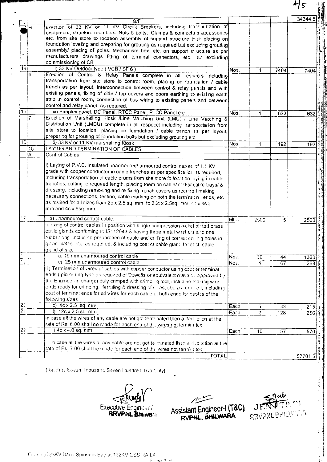|                 | B/F                                                                                                                                                                                                                                                                                                                                                                                                                                                                                      |                        |                |                | 343445 |
|-----------------|------------------------------------------------------------------------------------------------------------------------------------------------------------------------------------------------------------------------------------------------------------------------------------------------------------------------------------------------------------------------------------------------------------------------------------------------------------------------------------------|------------------------|----------------|----------------|--------|
|                 | Erection of 33 KV or 11 KV Circuit Breakers, including transaction of<br>equipment, structure members. Nuts & bolts, Clamps & connecto s accessories<br>etc. from site store to location assembly of support struclure their placing on<br>foundation leveling and preparing for grouting as required but excluding grouting<br>assembly/ placing of poles. Mechanism box, etc. on support stlucture as per<br>manufacturers drawings fitting of terminal connectors, etc. put excluding |                        |                |                |        |
| $\overline{1}$  | commissioning of CB<br>I) 33 KV Outdoor type (VCB / SF 6)                                                                                                                                                                                                                                                                                                                                                                                                                                | Nos.                   | 1              |                |        |
| 16              | Erection of Control & Relay Panels complete in all respects noluding<br>transportation from site store to control room, placing on foundation / cable<br>trench as per layout, interconnection between control & relay panels and with<br>existing panels, fixing of side / top covers and doors earthing to existing earth<br>strip in control room, connection of bus wiring to existing pane's and between<br>control and relay panel. As required.                                   |                        |                | 7404           | 7404   |
| 15              | iii) Simplex panel. DC Panel, RTCC Panel, PLCC Panel e.c.                                                                                                                                                                                                                                                                                                                                                                                                                                | Nos.                   | 1              | 632            | 632    |
|                 | Erection of Marshalling Kiosk /Line Matching Unit (LMU) / Line Vatching &<br>Distribution Unit (LMDU) complete in all respecct including transportation from<br>site store to location, placing on foundation / cable trench as per layout,<br>preparing for grouting of foundation bolts but excluding grouting etc.                                                                                                                                                                    |                        |                |                |        |
| 16<br>$\cdot$ C | ii) 33 KV or 11 KV marshalling Kiosk<br>LAYING AND TERMINATION OF CABLES                                                                                                                                                                                                                                                                                                                                                                                                                 | Nos.                   | 1              | 192            | 192    |
| ÷Α              | Control Cables                                                                                                                                                                                                                                                                                                                                                                                                                                                                           |                        |                |                |        |
|                 | including transportation of cable drums from site store fo location laying in cable<br>trenches, cutting to required length, placing them on cable/ racks/ cable trays/ &<br>dressing. Including removing and re-fixing trench covers as require I making<br>necessary connections, testing, cable marking on both the terminatin vends, etc.<br>as rquired for all sizes from 2c x 2.5 sq. mm, to 2Dc x 2.5sq. mm, 40 x 4sq.<br>mm.and 4c x 6sq. mm.                                    |                        |                |                |        |
|                 | a) unarmoured control cable.                                                                                                                                                                                                                                                                                                                                                                                                                                                             | Mtrs                   | 2500           | 5 <sub>1</sub> | 12500  |
|                 | it) fixing of control cables in position with single compression nickel plated brass<br>cable glands confirming to IS: 12943 & having three metal washers and one<br>rubber raig, including preparation of cable and or ling of corres; on tirig holes in<br>gic nd plates, etc. as required. & including cost of cable glancifor each cable<br>g and of size                                                                                                                            |                        |                |                |        |
| $\frac{1}{15}$  | a) 19 mm unarmoured control cable<br>c) 25 mm unarmoured control cable                                                                                                                                                                                                                                                                                                                                                                                                                   | Nos.                   | 30             | 44             | 1320   |
| $\frac{20}{21}$ | ii.) Termination of vires of cables with copper cor ductor using copper terminal<br>ends ( pin or ring type as required of Dowells or equivalent make as approved by<br>the Engineer-in charge) duly crimped with crimping tool, including maling wire<br>ends ready for crimping. ferruling & dressing of vires, etc. as require I, including<br>cost of terminal ends for all wires for each cable at both ends for cables of the<br>following sizes                                   | $\overline{\text{No}}$ | 4              | 67             | 268    |
|                 | c) 4c x 2.5 sq. mm                                                                                                                                                                                                                                                                                                                                                                                                                                                                       | Each                   | 5              | 43             | 215    |
|                 | f) 12c x 2.5 sq mm<br>in case all the wires of any cable are not got term nated then a ded iction at the<br>rate of Rs. 6.00 shall be made for each end of the wires not terminated                                                                                                                                                                                                                                                                                                      | Each                   | $\overline{2}$ | 128            | 256    |
|                 | i) $4c \times 4.0$ sq. mm                                                                                                                                                                                                                                                                                                                                                                                                                                                                | Each                   | 10             | 57             | 570    |
|                 | in case all the wires of any cable are not got te minated then a dud iction at the<br>rate of Rs. 7.00 shall be made for each end of the wires not terminated                                                                                                                                                                                                                                                                                                                            |                        |                |                |        |
|                 | <b>TOTAL</b>                                                                                                                                                                                                                                                                                                                                                                                                                                                                             |                        |                |                | 57701  |

(Rs. Fifty Seven Thousand Seven Hundred Two Only)

Executive Engineer (

سنستصم Assistant Engineer-1 (T&C)

goules JE RRVPNL BHILWAC.A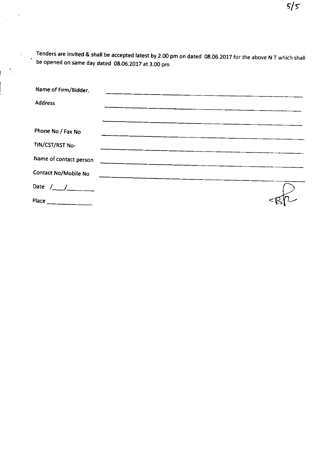Tenders are invited & shall be accepted latest by 2.00 pm on dated 08.06.2017 for the above NT which shall be opened on same day dated 08.06.2017 at 3.00 pm

| Name of Firm/Bidder.     |  |
|--------------------------|--|
| <b>Address</b>           |  |
|                          |  |
| Phone No / Fax No        |  |
| TIN/CST/RST No-          |  |
| Name of contact person   |  |
| Contact No/Mobile No     |  |
| Date $/$ ___ $/$ _______ |  |
| Place                    |  |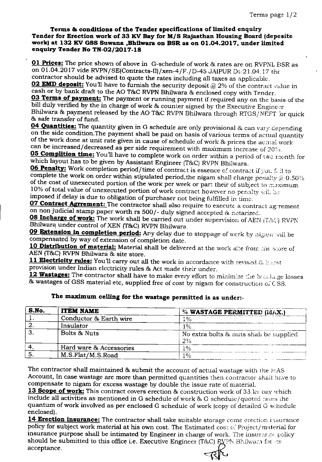#### **Terms &; conditions of the Tender specifications of limited enquiry Tender for Erection work of 33 KVBay for** *MIS* **Rajasthan Housing Board** [deposrte **work, at 132 KVGSS Suwana ,BhUwara on BSR as on 01.04.2017, under limited enquiry Tender No** *TN-02/2017-18*

**01 Prices:** The price shown of above in G-schedule of work & rates are on RVPNL ESR as on 01.04.2017 vide RVPN/SE(Contracts-II)/xen-4/F./D-45 JAIPUR Dt·21.04.17 the contractor should be advised to quote the rates including all taxes as applicable.

**02 EMD deposit:** You'll have to furnish the security deposit @ 2% of the contract value in cash or by bank draft to the AO T&C RVPN Bhilwara & enclosed copy with Tender.

**03 Terms of payment:** The payment or running payment if required any on the baais of the bill duly verified by the in charge of work & counter signed by the Executive Engineer Bhilwara & payment released by the AO T&C RVPN Bhilwara through RTGS/NEFT for quick & safe transfer of fund.

**04 Quantities:** The quantity given in G schedule are only provisional & can vary depending on the side condition.The payment shall be paid on basis of various terms of actual quantity of the work done at unit rate given in cause of schedule of work & prices the actual work can be increased/decreased as per side requirement with maximum increase of 20%.

**05 Complition time:** You'll have to complete work on order within a period of two raonth for which layout has to be given by Assistant Engineer (T&C) RVPN Bhilwara.

**06 Penalty:** Work completion period/time of contract is essence of contract if you fail to complete the work on order within stipulated period, the nigam shall charge penalty  $@0.50\%$ of the cost of unexecuted portion of the work per week or part their of subject to maximum 10% of total value of unexecuted portion of work contract however no penalty *'iiii. )),* imposed if delay is due to obligation of purchaser not being fulfilled in time.

**07 Contract Agrrement:** The contractor shall also require to execute a contract agrernent on non judicial stamp paper worth rs 500/- duly signed accepted & notarized.

**08 Incharge of work:** The work shall be carried out under supervision of AEN (T&C) RVPN Bhilwara under control of XEN (T&C) RVPN Bhilwara.

**09 Extension in completion period:** Any delay due to stoppage of work by nigarn will be compensated by way of extension of completion date.

10 **Distribution of material:** Material shall be delivered at the work site from the store of AEN (T&C) RVPN Bhilwara & site store.

**11 Electricity rules:** You'll carry out all the work in accordance with revised & lass t provision under Indian electricity rules & Act made their under.

12 Wastages: The contractor shall have to make every effort to minimize the bioalage losses & wastages of GSS material etc, supplied free of cost by nigam for construction of CSS.

| S.No. | <b>ITEM NAME</b>        | % WASTAGE PERMITTED (MIAX.)                   |
|-------|-------------------------|-----------------------------------------------|
|       | Conductor & Earth wire  | 1%                                            |
|       | Insulator               | 1%                                            |
|       | Bolts & Nuts            | No extra bolts & nuts shall be supplied<br>2% |
|       | Hard ware & Accessories | 1%                                            |
|       | M.S.Flat/M.S.Road       | 1%                                            |

### **The maximum ceiling for the wastage permitted is as** under:-

The contractor shall maintained  $\&$  submit the account of actual wastage with the MAS Account, In case wastage are more than permitted quantities then contractor shall have to compensate to nigam for excess wastage by double the issue rate of material.

**13 Scope of work:** This contract covers erection & construction work of 33 ky pay which include all activities as mentioned in G schedule of work & G schedule/quoted rates the quantum of work involved as per enclosed G schedule of work (copy of detailed G schedule enclosed).

**14 Erection insurance:** The contractor shall take suitable storage corne erection irsurance policy for subject work material at his own cost. The Estimated cost of Project/material for insurance purpose shall be intimated by Engineer in charge of work. The insurance policy should be submitted to this office i.e. Executive Engineer (T&C) RVPN Bhilwara for *its* acceptance.